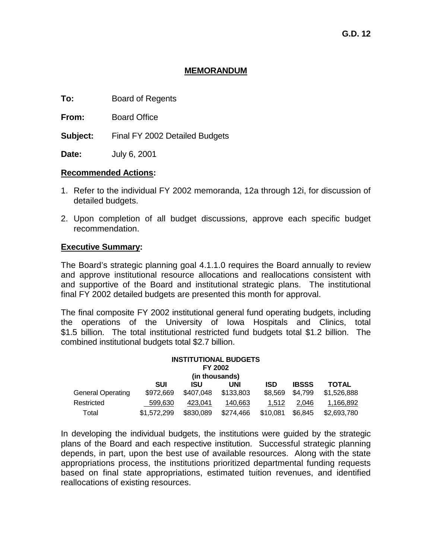#### **MEMORANDUM**

**To:** Board of Regents

**From:** Board Office

**Subject:** Final FY 2002 Detailed Budgets

**Date:** July 6, 2001

### **Recommended Actions:**

- 1. Refer to the individual FY 2002 memoranda, 12a through 12i, for discussion of detailed budgets.
- 2. Upon completion of all budget discussions, approve each specific budget recommendation.

### **Executive Summary:**

The Board's strategic planning goal 4.1.1.0 requires the Board annually to review and approve institutional resource allocations and reallocations consistent with and supportive of the Board and institutional strategic plans. The institutional final FY 2002 detailed budgets are presented this month for approval.

The final composite FY 2002 institutional general fund operating budgets, including the operations of the University of Iowa Hospitals and Clinics, total \$1.5 billion. The total institutional restricted fund budgets total \$1.2 billion. The combined institutional budgets total \$2.7 billion.

|                          |             | FY 2002        | <b>INSTITUTIONAL BUDGETS</b> |          |              |             |
|--------------------------|-------------|----------------|------------------------------|----------|--------------|-------------|
|                          |             | (in thousands) |                              |          |              |             |
|                          | <b>SUI</b>  | ISU            | UNI                          | ISD      | <b>IBSSS</b> | TOTAL       |
| <b>General Operating</b> | \$972,669   | \$407,048      | \$133,803                    | \$8,569  | \$4,799      | \$1,526,888 |
| Restricted               | 599.630     | 423.041        | 140,663                      | 1.512    | 2.046        | 1,166,892   |
| Total                    | \$1,572,299 | \$830,089      | \$274,466                    | \$10,081 | \$6,845      | \$2,693,780 |

In developing the individual budgets, the institutions were guided by the strategic plans of the Board and each respective institution. Successful strategic planning depends, in part, upon the best use of available resources. Along with the state appropriations process, the institutions prioritized departmental funding requests based on final state appropriations, estimated tuition revenues, and identified reallocations of existing resources.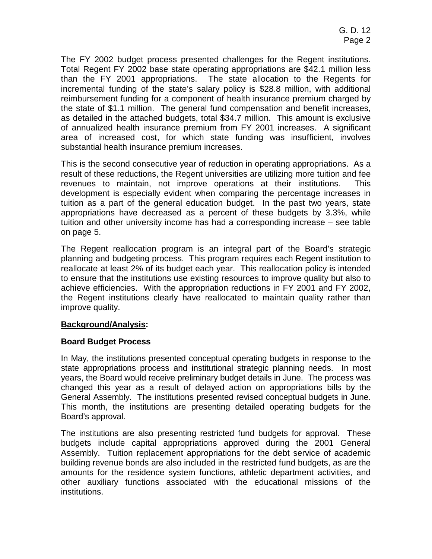The FY 2002 budget process presented challenges for the Regent institutions. Total Regent FY 2002 base state operating appropriations are \$42.1 million less than the FY 2001 appropriations. The state allocation to the Regents for incremental funding of the state's salary policy is \$28.8 million, with additional reimbursement funding for a component of health insurance premium charged by the state of \$1.1 million. The general fund compensation and benefit increases, as detailed in the attached budgets, total \$34.7 million. This amount is exclusive of annualized health insurance premium from FY 2001 increases. A significant area of increased cost, for which state funding was insufficient, involves substantial health insurance premium increases.

This is the second consecutive year of reduction in operating appropriations. As a result of these reductions, the Regent universities are utilizing more tuition and fee revenues to maintain, not improve operations at their institutions. This development is especially evident when comparing the percentage increases in tuition as a part of the general education budget. In the past two years, state appropriations have decreased as a percent of these budgets by 3.3%, while tuition and other university income has had a corresponding increase – see table on page 5.

The Regent reallocation program is an integral part of the Board's strategic planning and budgeting process. This program requires each Regent institution to reallocate at least 2% of its budget each year. This reallocation policy is intended to ensure that the institutions use existing resources to improve quality but also to achieve efficiencies. With the appropriation reductions in FY 2001 and FY 2002, the Regent institutions clearly have reallocated to maintain quality rather than improve quality.

# **Background/Analysis:**

# **Board Budget Process**

In May, the institutions presented conceptual operating budgets in response to the state appropriations process and institutional strategic planning needs. In most years, the Board would receive preliminary budget details in June. The process was changed this year as a result of delayed action on appropriations bills by the General Assembly. The institutions presented revised conceptual budgets in June. This month, the institutions are presenting detailed operating budgets for the Board's approval.

The institutions are also presenting restricted fund budgets for approval. These budgets include capital appropriations approved during the 2001 General Assembly. Tuition replacement appropriations for the debt service of academic building revenue bonds are also included in the restricted fund budgets, as are the amounts for the residence system functions, athletic department activities, and other auxiliary functions associated with the educational missions of the institutions.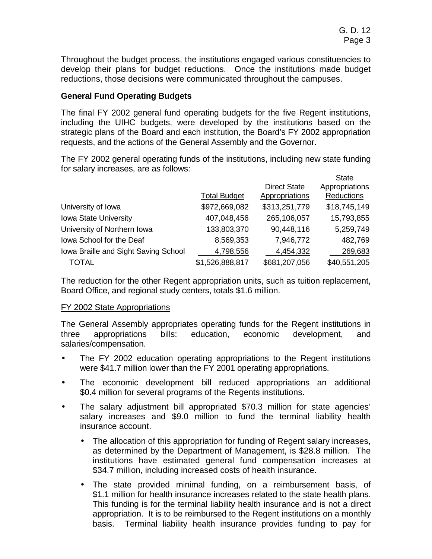Throughout the budget process, the institutions engaged various constituencies to develop their plans for budget reductions. Once the institutions made budget reductions, those decisions were communicated throughout the campuses.

# **General Fund Operating Budgets**

The final FY 2002 general fund operating budgets for the five Regent institutions, including the UIHC budgets, were developed by the institutions based on the strategic plans of the Board and each institution, the Board's FY 2002 appropriation requests, and the actions of the General Assembly and the Governor.

The FY 2002 general operating funds of the institutions, including new state funding for salary increases, are as follows:  $\sum_{i=1}^{n}$ 

|                                      |                     |                     | ыате           |
|--------------------------------------|---------------------|---------------------|----------------|
|                                      |                     | <b>Direct State</b> | Appropriations |
|                                      | <b>Total Budget</b> | Appropriations      | Reductions     |
| University of Iowa                   | \$972,669,082       | \$313,251,779       | \$18,745,149   |
| Iowa State University                | 407,048,456         | 265,106,057         | 15,793,855     |
| University of Northern Iowa          | 133,803,370         | 90,448,116          | 5,259,749      |
| Iowa School for the Deaf             | 8,569,353           | 7,946,772           | 482,769        |
| Iowa Braille and Sight Saving School | 4,798,556           | 4,454,332           | 269,683        |
| TOTAL                                | \$1,526,888,817     | \$681,207,056       | \$40,551,205   |

The reduction for the other Regent appropriation units, such as tuition replacement, Board Office, and regional study centers, totals \$1.6 million.

# FY 2002 State Appropriations

The General Assembly appropriates operating funds for the Regent institutions in three appropriations bills: education, economic development, and salaries/compensation.

- The FY 2002 education operating appropriations to the Regent institutions were \$41.7 million lower than the FY 2001 operating appropriations.
- The economic development bill reduced appropriations an additional \$0.4 million for several programs of the Regents institutions.
- The salary adjustment bill appropriated \$70.3 million for state agencies' salary increases and \$9.0 million to fund the terminal liability health insurance account.
	- The allocation of this appropriation for funding of Regent salary increases, as determined by the Department of Management, is \$28.8 million. The institutions have estimated general fund compensation increases at \$34.7 million, including increased costs of health insurance.
	- The state provided minimal funding, on a reimbursement basis, of \$1.1 million for health insurance increases related to the state health plans. This funding is for the terminal liability health insurance and is not a direct appropriation. It is to be reimbursed to the Regent institutions on a monthly basis. Terminal liability health insurance provides funding to pay for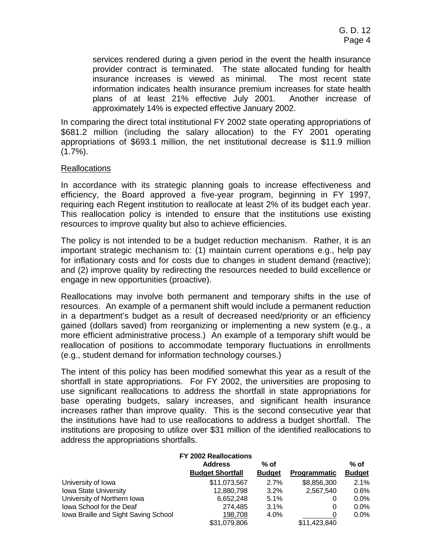services rendered during a given period in the event the health insurance provider contract is terminated. The state allocated funding for health insurance increases is viewed as minimal. The most recent state information indicates health insurance premium increases for state health plans of at least 21% effective July 2001. Another increase of approximately 14% is expected effective January 2002.

In comparing the direct total institutional FY 2002 state operating appropriations of \$681.2 million (including the salary allocation) to the FY 2001 operating appropriations of \$693.1 million, the net institutional decrease is \$11.9 million  $(1.7\%)$ .

### Reallocations

In accordance with its strategic planning goals to increase effectiveness and efficiency, the Board approved a five-year program, beginning in FY 1997, requiring each Regent institution to reallocate at least 2% of its budget each year. This reallocation policy is intended to ensure that the institutions use existing resources to improve quality but also to achieve efficiencies.

The policy is not intended to be a budget reduction mechanism. Rather, it is an important strategic mechanism to: (1) maintain current operations e.g., help pay for inflationary costs and for costs due to changes in student demand (reactive); and (2) improve quality by redirecting the resources needed to build excellence or engage in new opportunities (proactive).

Reallocations may involve both permanent and temporary shifts in the use of resources. An example of a permanent shift would include a permanent reduction in a department's budget as a result of decreased need/priority or an efficiency gained (dollars saved) from reorganizing or implementing a new system (e.g., a more efficient administrative process.) An example of a temporary shift would be reallocation of positions to accommodate temporary fluctuations in enrollments (e.g., student demand for information technology courses.)

The intent of this policy has been modified somewhat this year as a result of the shortfall in state appropriations. For FY 2002, the universities are proposing to use significant reallocations to address the shortfall in state appropriations for base operating budgets, salary increases, and significant health insurance increases rather than improve quality. This is the second consecutive year that the institutions have had to use reallocations to address a budget shortfall. The institutions are proposing to utilize over \$31 million of the identified reallocations to address the appropriations shortfalls.

|                                      | FY 2002 Reallocations                     |                         |                     |                         |
|--------------------------------------|-------------------------------------------|-------------------------|---------------------|-------------------------|
|                                      | <b>Address</b><br><b>Budget Shortfall</b> | $%$ of<br><b>Budget</b> | <b>Programmatic</b> | $%$ of<br><b>Budget</b> |
| University of Iowa                   | \$11,073,567                              | 2.7%                    | \$8,856,300         | 2.1%                    |
| <b>Iowa State University</b>         | 12,880,798                                | 3.2%                    | 2.567.540           | 0.6%                    |
| University of Northern Iowa          | 6,652,248                                 | 5.1%                    | 0                   | $0.0\%$                 |
| Iowa School for the Deaf             | 274.485                                   | 3.1%                    | 0                   | $0.0\%$                 |
| Iowa Braille and Sight Saving School | 198,708                                   | 4.0%                    | 0                   | $0.0\%$                 |
|                                      | \$31.079.806                              |                         | \$11,423,840        |                         |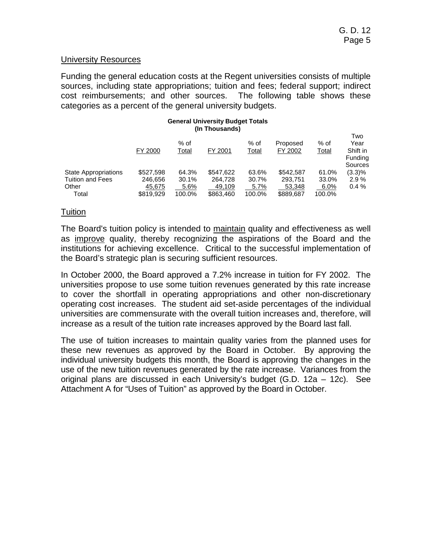#### University Resources

Funding the general education costs at the Regent universities consists of multiple sources, including state appropriations; tuition and fees; federal support; indirect cost reimbursements; and other sources. The following table shows these categories as a percent of the general university budgets.

#### **General University Budget Totals (In Thousands)**

|                                                                 | FY 2000                        | $%$ of<br>Total        | FY 2001                        | % of<br><u>Total</u>   | Proposed<br>FY 2002            | % of<br>Total          | Two<br>Year<br>Shift in<br>Funding<br>Sources |
|-----------------------------------------------------------------|--------------------------------|------------------------|--------------------------------|------------------------|--------------------------------|------------------------|-----------------------------------------------|
| <b>State Appropriations</b><br><b>Tuition and Fees</b><br>Other | \$527,598<br>246,656<br>45.675 | 64.3%<br>30.1%<br>5.6% | \$547.622<br>264.728<br>49.109 | 63.6%<br>30.7%<br>5.7% | \$542.587<br>293.751<br>53.348 | 61.0%<br>33.0%<br>6.0% | $(3.3)\%$<br>2.9%<br>0.4%                     |
| Total                                                           | \$819,929                      | 100.0%                 | \$863,460                      | 100.0%                 | \$889,687                      | 100.0%                 |                                               |

### Tuition

The Board's tuition policy is intended to maintain quality and effectiveness as well as improve quality, thereby recognizing the aspirations of the Board and the institutions for achieving excellence. Critical to the successful implementation of the Board's strategic plan is securing sufficient resources.

In October 2000, the Board approved a 7.2% increase in tuition for FY 2002. The universities propose to use some tuition revenues generated by this rate increase to cover the shortfall in operating appropriations and other non-discretionary operating cost increases. The student aid set-aside percentages of the individual universities are commensurate with the overall tuition increases and, therefore, will increase as a result of the tuition rate increases approved by the Board last fall.

The use of tuition increases to maintain quality varies from the planned uses for these new revenues as approved by the Board in October. By approving the individual university budgets this month, the Board is approving the changes in the use of the new tuition revenues generated by the rate increase. Variances from the original plans are discussed in each University's budget (G.D. 12a – 12c). See Attachment A for "Uses of Tuition" as approved by the Board in October.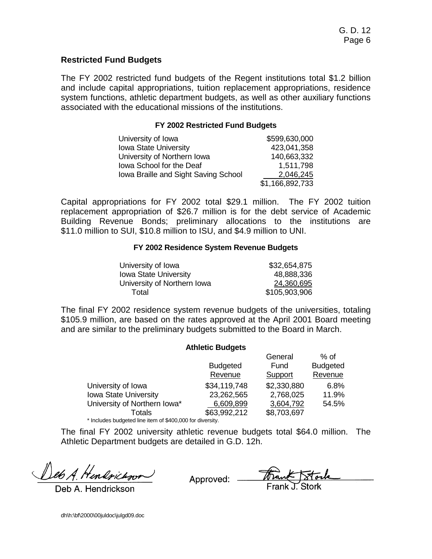### **Restricted Fund Budgets**

The FY 2002 restricted fund budgets of the Regent institutions total \$1.2 billion and include capital appropriations, tuition replacement appropriations, residence system functions, athletic department budgets, as well as other auxiliary functions associated with the educational missions of the institutions.

#### **FY 2002 Restricted Fund Budgets**

| University of Iowa                   | \$599,630,000   |
|--------------------------------------|-----------------|
| <b>Iowa State University</b>         | 423,041,358     |
| University of Northern Iowa          | 140,663,332     |
| Iowa School for the Deaf             | 1,511,798       |
| Iowa Braille and Sight Saving School | 2,046,245       |
|                                      | \$1,166,892,733 |

Capital appropriations for FY 2002 total \$29.1 million. The FY 2002 tuition replacement appropriation of \$26.7 million is for the debt service of Academic Building Revenue Bonds; preliminary allocations to the institutions are \$11.0 million to SUI, \$10.8 million to ISU, and \$4.9 million to UNI.

#### **FY 2002 Residence System Revenue Budgets**

| University of Iowa           | \$32,654,875  |
|------------------------------|---------------|
| <b>Iowa State University</b> | 48,888,336    |
| University of Northern Iowa  | 24,360,695    |
| Total                        | \$105,903,906 |

The final FY 2002 residence system revenue budgets of the universities, totaling \$105.9 million, are based on the rates approved at the April 2001 Board meeting and are similar to the preliminary budgets submitted to the Board in March.

**Athletic Budgets** 

|                                                           | <b>Athletic Dudgets</b> |             |                 |
|-----------------------------------------------------------|-------------------------|-------------|-----------------|
|                                                           |                         | General     | $%$ of          |
|                                                           | <b>Budgeted</b>         | Fund        | <b>Budgeted</b> |
|                                                           | Revenue                 | Support     | Revenue         |
| University of Iowa                                        | \$34,119,748            | \$2,330,880 | 6.8%            |
| Iowa State University                                     | 23,262,565              | 2,768,025   | 11.9%           |
| University of Northern Iowa*                              | 6,609,899               | 3,604,792   | 54.5%           |
| Totals                                                    | \$63,992,212            | \$8,703,697 |                 |
| * Includes budgeted line item of \$400,000 for diversity. |                         |             |                 |

The final FY 2002 university athletic revenue budgets total \$64.0 million. The Athletic Department budgets are detailed in G.D. 12h.

Deb A. Hendrickson

Deb A. Hendrickson

dh\h:\bf\2000\00juldoc\julgd09.doc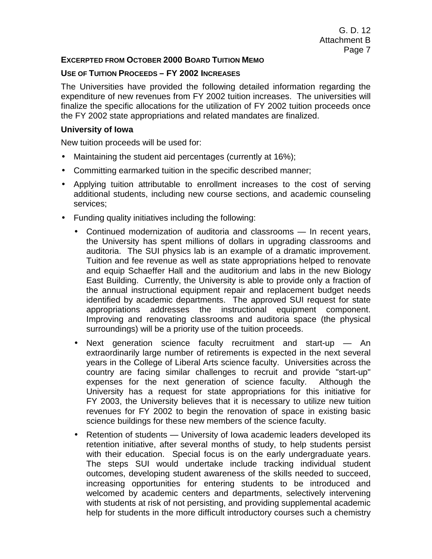### **EXCERPTED FROM OCTOBER 2000 BOARD TUITION MEMO**

### **USE OF TUITION PROCEEDS – FY 2002 INCREASES**

The Universities have provided the following detailed information regarding the expenditure of new revenues from FY 2002 tuition increases. The universities will finalize the specific allocations for the utilization of FY 2002 tuition proceeds once the FY 2002 state appropriations and related mandates are finalized.

### **University of Iowa**

New tuition proceeds will be used for:

- Maintaining the student aid percentages (currently at 16%);
- Committing earmarked tuition in the specific described manner;
- Applying tuition attributable to enrollment increases to the cost of serving additional students, including new course sections, and academic counseling services;
- Funding quality initiatives including the following:
	- Continued modernization of auditoria and classrooms In recent years, the University has spent millions of dollars in upgrading classrooms and auditoria. The SUI physics lab is an example of a dramatic improvement. Tuition and fee revenue as well as state appropriations helped to renovate and equip Schaeffer Hall and the auditorium and labs in the new Biology East Building. Currently, the University is able to provide only a fraction of the annual instructional equipment repair and replacement budget needs identified by academic departments. The approved SUI request for state appropriations addresses the instructional equipment component. Improving and renovating classrooms and auditoria space (the physical surroundings) will be a priority use of the tuition proceeds.
	- Next generation science faculty recruitment and start-up An extraordinarily large number of retirements is expected in the next several years in the College of Liberal Arts science faculty. Universities across the country are facing similar challenges to recruit and provide "start-up" expenses for the next generation of science faculty. Although the University has a request for state appropriations for this initiative for FY 2003, the University believes that it is necessary to utilize new tuition revenues for FY 2002 to begin the renovation of space in existing basic science buildings for these new members of the science faculty.
	- Retention of students University of Iowa academic leaders developed its retention initiative, after several months of study, to help students persist with their education. Special focus is on the early undergraduate years. The steps SUI would undertake include tracking individual student outcomes, developing student awareness of the skills needed to succeed, increasing opportunities for entering students to be introduced and welcomed by academic centers and departments, selectively intervening with students at risk of not persisting, and providing supplemental academic help for students in the more difficult introductory courses such a chemistry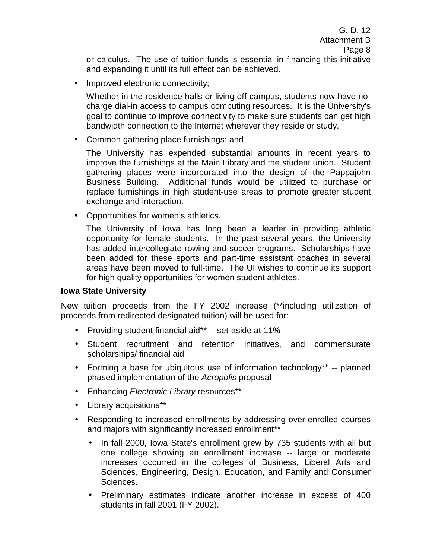or calculus. The use of tuition funds is essential in financing this initiative and expanding it until its full effect can be achieved.

• Improved electronic connectivity;

Whether in the residence halls or living off campus, students now have nocharge dial-in access to campus computing resources. It is the University's goal to continue to improve connectivity to make sure students can get high bandwidth connection to the Internet wherever they reside or study.

• Common gathering place furnishings; and

The University has expended substantial amounts in recent years to improve the furnishings at the Main Library and the student union. Student gathering places were incorporated into the design of the Pappajohn Business Building. Additional funds would be utilized to purchase or replace furnishings in high student-use areas to promote greater student exchange and interaction.

• Opportunities for women's athletics.

The University of Iowa has long been a leader in providing athletic opportunity for female students. In the past several years, the University has added intercollegiate rowing and soccer programs. Scholarships have been added for these sports and part-time assistant coaches in several areas have been moved to full-time. The UI wishes to continue its support for high quality opportunities for women student athletes.

# **Iowa State University**

New tuition proceeds from the FY 2002 increase (\*\*including utilization of proceeds from redirected designated tuition) will be used for:

- Providing student financial aid\*\* -- set-aside at 11%
- Student recruitment and retention initiatives, and commensurate scholarships/ financial aid
- Forming a base for ubiquitous use of information technology\*\* -- planned phased implementation of the *Acropolis* proposal
- Enhancing *Electronic Library* resources\*\*
- Library acquisitions\*\*
- Responding to increased enrollments by addressing over-enrolled courses and majors with significantly increased enrollment\*\*
	- In fall 2000, Iowa State's enrollment grew by 735 students with all but one college showing an enrollment increase -- large or moderate increases occurred in the colleges of Business, Liberal Arts and Sciences, Engineering, Design, Education, and Family and Consumer Sciences.
	- Preliminary estimates indicate another increase in excess of 400 students in fall 2001 (FY 2002).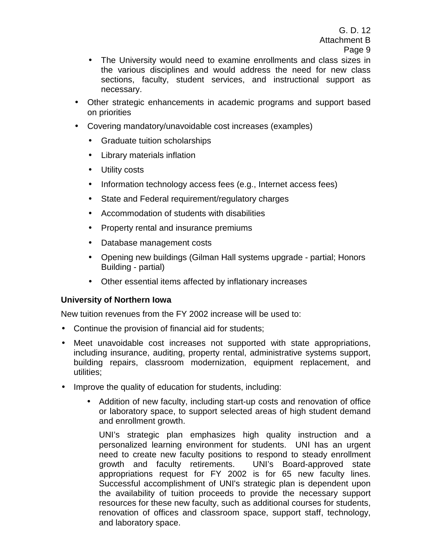- The University would need to examine enrollments and class sizes in the various disciplines and would address the need for new class sections, faculty, student services, and instructional support as necessary.
- Other strategic enhancements in academic programs and support based on priorities
- Covering mandatory/unavoidable cost increases (examples)
	- Graduate tuition scholarships
	- Library materials inflation
	- Utility costs
	- Information technology access fees (e.g., Internet access fees)
	- State and Federal requirement/regulatory charges
	- Accommodation of students with disabilities
	- Property rental and insurance premiums
	- Database management costs
	- Opening new buildings (Gilman Hall systems upgrade partial; Honors Building - partial)
	- Other essential items affected by inflationary increases

# **University of Northern Iowa**

New tuition revenues from the FY 2002 increase will be used to:

- Continue the provision of financial aid for students;
- Meet unavoidable cost increases not supported with state appropriations, including insurance, auditing, property rental, administrative systems support, building repairs, classroom modernization, equipment replacement, and utilities;
- Improve the quality of education for students, including:
	- Addition of new faculty, including start-up costs and renovation of office or laboratory space, to support selected areas of high student demand and enrollment growth.

UNI's strategic plan emphasizes high quality instruction and a personalized learning environment for students. UNI has an urgent need to create new faculty positions to respond to steady enrollment growth and faculty retirements. UNI's Board-approved state appropriations request for FY 2002 is for 65 new faculty lines. Successful accomplishment of UNI's strategic plan is dependent upon the availability of tuition proceeds to provide the necessary support resources for these new faculty, such as additional courses for students, renovation of offices and classroom space, support staff, technology, and laboratory space.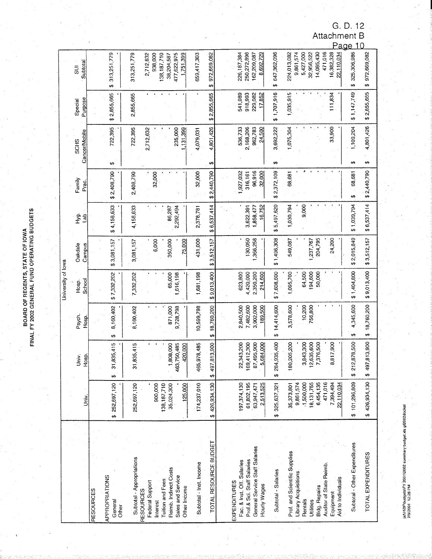**BOARD OF REGENTS, STATE OF IOWA<br>FINAL FY 2002 GENERAL FUND OPERATING BUDGETS** 

|                                                          |                           |                                   |                                 | University of lowa   |                     |                     |                  |                       |                    |                            |
|----------------------------------------------------------|---------------------------|-----------------------------------|---------------------------------|----------------------|---------------------|---------------------|------------------|-----------------------|--------------------|----------------------------|
|                                                          |                           | Jniv.                             | Psych.                          | Hosp.                | Oakdale             | Hyg.                | Family           | <b>SCHS</b>           | Special            | $\overline{5}$             |
|                                                          | Univ.                     | -losp.                            | Hosp.                           | School               | Campus              | da                  | Prac.            | Cancer/Mobile         | Purpose            | Subtotal                   |
| <b>RESOURCES</b>                                         |                           |                                   |                                 |                      |                     |                     |                  |                       |                    |                            |
| APPROPRIATIONS<br>General<br>Other                       | 252,697,120<br>÷,         | ,835,415<br>5<br>مه               | 8,160,402<br>↮                  | \$7,332,202          | \$3,081,157         | \$4,158,633         | \$2,408,790      | 722,395<br>↮          | \$2,855,665        | 313,251,779<br>÷           |
| Subtotal - Appropriations                                | 252,697,120               | ,835,415<br>5                     | 8,160,402                       | 7,332,202            | 3,081,157           | 4,158,633           | 2,408,790        | 722,395               | 2,855,665          | 313,251,779                |
| Federal Support<br><b>RESOURCES</b><br>Interest          | 900,000                   |                                   |                                 |                      | 6,000               |                     | 32,000           | 2,712,632             |                    | 2,712,632<br>938,000       |
| Reimb. Indirect Costs<br>Tuition and Fees                | 138,187,710<br>35,024,300 | ,808,000                          | 871,000                         | 65,000               | 350,000             | 86,287              |                  |                       |                    | 138,187,710<br>38,204,587  |
| Sales and Service<br>Other Income                        | 125,000                   | 750,485<br>420,000<br>$rac{1}{4}$ | 9,728,798                       | 616,198              | 75,000              | 2,292,494           |                  | 235,000<br>131,399    |                    | 477,622,975<br>1,751,399   |
| Subtotal - Inst. Income                                  | 174,237,010               | 465,978 485                       | 10,599,798                      | 1,681,198            | 431,000             | 2,378,781           | 32,000           | 4,079,031             |                    | 659,417,303                |
| TOTAL RESOURCE BUDGET                                    | 426,934,130<br>₩          | ,813,900<br>49<br>↮               | \$18,760,200                    | \$9,013,400          | \$3,512,157         | \$6,537,414         | \$2,440,790      | 4,801,426<br>↮        | \$2,855,665        | 972,669,082<br>$\theta$    |
|                                                          |                           |                                   |                                 |                      |                     |                     |                  |                       |                    |                            |
| EXPENDITURES                                             |                           |                                   |                                 |                      |                     |                     | 927,032          | 536,733               | 541,989            | 226,187,384                |
| Prof.& Sci. Staff Salaries<br>Fac. & Inst. Off. Salaries | 197,374,130<br>61,802,195 | 169,412,300<br>22,343,200         | 2,840,500<br>7,482,600          | 4,420,000<br>623,800 | 130,050             | 3,622,391           | 316,161          | 2,168,206             | 918,993<br>229,082 | 250,272,896<br>162,209,087 |
| General Service Staff Salaries<br>Hourly Wages           | 2,513,525<br>63,947,471   | 7,495,900<br>5,684,000<br>ထ       | 3,902,000<br>189,500            | 2,350,200<br>214,600 | 366,258             | 16,752<br>1,858,477 | 96,916<br>32,000 | 962,783<br>24,500     | 17,852             | 8,692,729                  |
| Subtotal - Salaries                                      | 325,637,321<br>÷,         | 284,935,400<br>↮                  | 14,414,600<br>$\leftrightarrow$ | \$7,608,600          | \$1,496,308         | \$5,497,620         | \$2,372,109      | 3,692,222<br>$\Theta$ | \$1,707,916        | 647,362,096<br>÷,          |
| Prof. and Scientific Supplies                            | 35,373,801                | 180,205,200                       | 3,578,600                       | 1,095,700            | 549,087             | 1,030,794           | 68,681           | 1,075,304             | 1,035,915          | 224,013,082                |
| Library Acquisitions<br>Rentals                          | 9,861,574<br>1,500,000    | 3,843,300                         | 10,200                          | 64,500               |                     | 9,000               |                  |                       |                    | 9,861,574<br>5,427,000     |
| <b>Bldg. Repairs</b><br>Utilities                        | 6,454,135<br>18,131,755   | 2,635,600<br>7,376,500            | 756,800                         | 194,600<br>50,000    | 204,795<br>,237,767 |                     |                  |                       |                    | 32,956,522<br>14,085,430   |
| Auditor of State Reimb.<br>Equipment                     | 471,016<br>7,394,494      | 8,817,900                         |                                 |                      | 24,200              |                     |                  | 33,900                | 111,834            | 471,016<br>16,382,328      |
| Aid to Individuals                                       | 22,110,034                |                                   |                                 |                      |                     |                     |                  |                       |                    | 22,110,034                 |
| Subtotal - Other Expenditures                            | \$101,296,809             | 2,878,500<br>$\frac{71}{9}$       | 4,345,600<br>↮                  | \$1,404,800          | 2,015,849<br>↮      | \$1,039,794         | 68,681<br>₩      | ,109,204<br>↮         | \$1,147,749        | 325,306,986<br>↮           |
| TOTAL EXPENDITURES                                       | \$426,934,130             | 497,813,900<br>↮                  | 18,760,200<br>ø                 | \$9,013,400          | \$3,512,157         | \$6,537,414         | \$2,440,790      | 4,801,426<br>₩        | \$2,855,665        | 972,669,082<br>↮           |

 $\frac{1}{k}$ 

janHBPhudgels/FY 2001\2002 summary budget.xls g/2002docket<br>7/9/2001 12:28 PM

G. D. 12<br>Attachment B<br>Page 10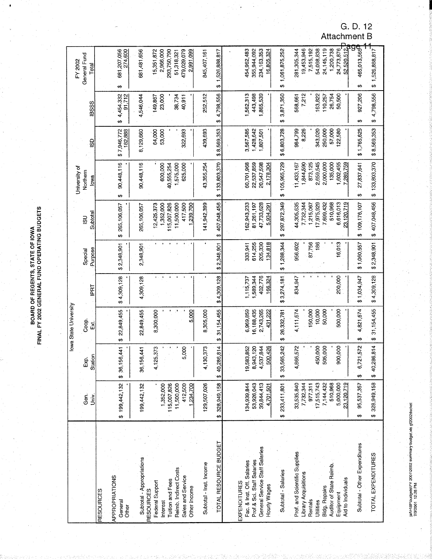**BOARD OF REGENTS, STATE OF IOWA<br>FINAL FY 2002 GENERAL FUND OPERATING BUDGETS** 

|                                                          |                           |                         | lowa State University  |                      |                    |                           |                          |                        |                          |                                       |
|----------------------------------------------------------|---------------------------|-------------------------|------------------------|----------------------|--------------------|---------------------------|--------------------------|------------------------|--------------------------|---------------------------------------|
|                                                          |                           |                         |                        |                      |                    |                           | University of            |                        |                          | FY 2002                               |
|                                                          | Gen.                      | Exp.                    | Coop.                  |                      | Special            | $\overline{5}$            | Northern                 |                        |                          | General Fund                          |
|                                                          | Univ.                     | Station                 | Σ                      | I⊧E                  | Purpose            | Subtotal                  | lowa                     | GSD                    | <b>IBSSS</b>             | Total                                 |
| <b>RESOURCES</b>                                         |                           |                         |                        |                      |                    |                           |                          |                        |                          |                                       |
| <b>APPROPRIATIONS</b><br>General<br>Other                | \$199,442,132             | 56,441<br>36,1<br>₩     | 22,849,455<br>↮        | \$4,309,128          | 2,348,901<br>↮     | 265,106,057<br>↮          | 90,448,116<br>↮          | \$7,946,772<br>182,888 | 4,454,332<br>91,712<br>Ψ | 681,207,056<br>274,600<br>↮           |
| Subtotal - Appropriations                                | 199,442,132               | 56,441<br>36,1          | 22,849,455             | 4,309,128            | 2,348,901          | 265,106,057               | 90,448,116               | 8,129,660              | 4,546,044                | 681,481,656                           |
| Federal Support<br><b>RESOURCES</b><br>Interest          | 1,352,000                 | 25,373<br>÷             | 8,300,000              |                      |                    | 12,425,373<br>1,352,000   | 600,000                  | 53,000<br>64,000       | 23,000<br>149,867        | 15,351,872<br>2,966,000               |
| Tuition and Fees                                         | 115,007,826               |                         |                        |                      |                    | 115,007,826               | 40,555,254               |                        |                          | 293,750,790                           |
| Reimb. Indirect Costs<br>Sales and Service               | 11,500,000<br>412,500     | 5,000                   |                        |                      |                    | 11,500,000<br>417,500     | 625,000<br>1,575,000     | 322,693                | 38,734<br>40,911         | 479,029,079<br>51,318,321             |
| Other Income                                             | 234,700                   |                         | 5,000                  |                      |                    | ,239,700                  |                          |                        |                          | 2,991,099                             |
| Subtotal - Inst. Income                                  | 129,507,026               | 30,373<br>$\frac{1}{4}$ | 8,305,000              |                      |                    | 141,942,399               | 43,355,254               | 439,693                | 252,512                  | 845,407,161                           |
| TOTAL RESOURCE BUDGET                                    | \$328,949,158             | 40,286,814<br>€         | 31, 154, 455<br>↮      | \$4,309,128          | \$2,348,901        | 407,048,456<br>↮          | \$133,803,370            | \$8,569,353            | 4,798,556<br>ø           | \$1,526,888,817                       |
| EXPENDITURES                                             |                           |                         |                        |                      |                    |                           |                          |                        |                          |                                       |
| Prof.& Sci. Staff Salaries<br>Fac. & Inst. Off. Salaries | 53,926,043<br>134,939,844 | 19,583,852<br>8,943,120 | 6,969,859<br>6,188,435 | 589,344<br>1,115,737 | 614,255<br>333,941 | 162,943,233<br>81,261,197 | 60,701,968<br>22,537,859 | 3,567,585<br>1,428,642 | ,562,313<br>443,498      | 454,962,483<br>355,944,092            |
| General Service Staff Salaries<br>Hourly Wages           | 39,844,413<br>4,701,501   | 4,537,844<br>500,426    | 2,743,265<br>431,222   | 402,776<br>166,324   | 205,330<br>134,818 | 47,733,628<br>5,934,291   | 20,547,598<br>2,178,304  | 1,807,501              | ,865,539                 | 234,163,353<br>16,805,324             |
| Subtotal - Salaries                                      | 233,411,801<br>θ9         | 33,565,242<br>ø         | 26,332,78<br>↮         | \$3,274,181          | \$1,288,344        | 297,872,349<br>₩,         | \$105,965,729            | \$6,803,728            | 3,871,350<br>₩           | \$1,061,875,252                       |
| Prof. and Scientific Supplies                            | 33,535,840                | 4,866,572               | 4,111,674              | 834,947              | 956,602            | 44,305,635                | 11,433,167               | 984,799                | 568,661                  | 281,305,344                           |
| Library Acquisitions<br>Rentals                          | 7,732,344<br>977,311      |                         | 150,000                |                      | 87,756             | 7,732,344<br>1,215,067    | 1,844,590<br>873,125     | 8,226                  | 7,212                    | 19,453,946<br>7,515,192               |
| Utilities                                                | 17,515,743                | 450,000                 | 10,000                 |                      | 186                | 7,975,929                 | 2,659,545                | 343,020                | 163,822                  | 54,098,838                            |
| Auditor of State Reimb.<br><b>Bldg. Repairs</b>          | 510,968<br>7,144,432      | 505,000                 | 50,000                 |                      |                    | 7,699,432<br>510,968      | 2,000,000<br>135,000     | 250,000<br>57,000      | 26,754<br>110,257        | 1,200,738<br>24,145,119               |
| Aid to Individuals<br>Equipment                          | 23,120,719<br>5,000,000   | 900,000                 | 500,000                | 200,000              | 16,013             | 6,616,013<br>23,120,719   | 1,602,455<br>289,759     | 122,580                | 50,500                   | 24,773,876                            |
| Subtotal - Other Expenditures                            | 95,537,357<br>₩           | 21,572<br>စ<br>$\Theta$ | 4,821,674<br>↮         | \$1,034,947          | \$1,060,557        | 109,176,107<br>↮          | 27,837,641<br>↮          | \$1,765,625            | 927,206<br>↔             | 52.520.512<br>C<br>465,013,565<br>↮   |
| TOTAL EXPENDITURES                                       | \$328,949,158             | 40,286,814<br>₩         | 31, 154, 455<br>↮      | \$4,309,128          | \$2,348,901        | \$407,048,456             | 133,803,370<br>↮         | \$8,569,353            | 4,798,556<br>$\theta$    | 1,526,888,817<br>$\ddot{\bm{\theta}}$ |

jaN-RBF\budgeISIFY\_2001\2002 summary budget.xis gf2002docket<br>7/9/2001 12:28 PM

G. D. 12<br>Attachment B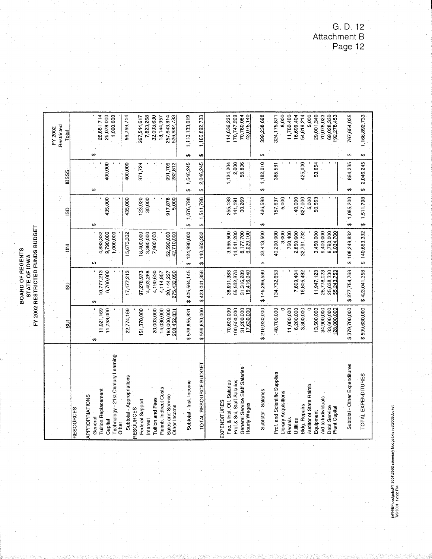**BOARD OF REGENTS<br>STATE OF IOWA<br>FY 2002 RESTRICTED FUNDS BUDGET** 

|                                                        |                            |                           |                          |                      |                    | FY 2002                    |            |
|--------------------------------------------------------|----------------------------|---------------------------|--------------------------|----------------------|--------------------|----------------------------|------------|
|                                                        | వ్దె                       | $\overline{5}$            | $\bar{z}$                | <b>GSD</b>           | <b>IBSSS</b>       | Restricted<br>Total        |            |
| <b>RESOURCES</b>                                       |                            |                           |                          |                      |                    |                            |            |
| APPROPRIATIONS                                         |                            |                           |                          |                      |                    |                            |            |
| General                                                | ₩                          | ₩                         | ₩                        | ŧĄ                   | ↮                  | 69                         |            |
| <b>Tuition Replacement</b>                             | 11,021,169                 | 10,777,213                | 4,883,332                | 435,000              | 400,000            | 26,681,714<br>29,078,000   |            |
| -21st Century Learning<br><b>Technology</b><br>Capital | 11,753,000                 | 6,700,000                 | 9,790,000<br>1,000,000   |                      |                    |                            | 1,000,000  |
| Other                                                  |                            |                           |                          |                      |                    |                            |            |
| Subtotal - Appropriations                              | 22,774,169                 | 17,477,213                | 15,673,332               | 135,000              | 400,000            | 56,759,714                 |            |
| <b>RESOURCES</b>                                       |                            |                           |                          |                      |                    |                            |            |
| Federal Support                                        | 51,370,000                 | 97,278,973                | 18,400,000               | 123,920              | 371,724            | 267,544,617                |            |
| nterest                                                |                            | 4,403,268                 | 3,390,000                | 30,000               |                    |                            | 7,823,268  |
| <b>Tuition and Fees</b>                                | 20,003,000                 | 4,190,630                 | 7,900,000                |                      |                    | 32,093,630                 |            |
| <b>Reimb.</b> Indirect Costs                           | 14,030,000                 | 4,114,957                 |                          |                      |                    | 18,144,957                 |            |
| Sales and Service<br>Other Income                      | 183,000,000<br>208,452,831 | 275,432,090<br>20,144,227 | 52,590,000<br>42,710,000 | 917,878<br>5,000     | 991,709<br>282,812 | 257,643,814<br>526,882,733 |            |
|                                                        |                            |                           |                          |                      |                    |                            |            |
| Subtotal - Inst. Income                                | \$576,855,831              | \$405,564,145             | \$124,990,000            | 1,076,798<br>₩       | 1,646,245<br>↮     | 1,110,133,019<br>₩         |            |
| TOTAL RESOURCE BUDGET                                  | \$599,630,000              | \$423,041,358             | \$140,663,332            | 1,511,798<br>↮       | 2,046,245<br>↔     | 1,166,892,733<br>₩         |            |
|                                                        |                            |                           |                          |                      |                    |                            |            |
| <b>EXPENDITURES</b>                                    |                            |                           |                          |                      |                    |                            |            |
| Fac. & Inst. Off. Salaries                             | 70,600,000                 | 38,991,383                | 3,665,500                | 255,138              | 1,124,204          | 114,636,225                |            |
| Prof.& Sci. Staff Salaries                             | 00,500,000                 | 55,562,878                | 14,541,200               | 141,191              | 2,000              | 170,747,269                |            |
| General Service Staff Salaries<br>Hourly Wages         | 31,200,000<br>17,630,000   | 31,316,289<br>19,416,040  | 8,177,700<br>6,029,100   | 30,269               | 55,806             | 70,780,064<br>43,075,140   |            |
|                                                        |                            |                           |                          |                      |                    |                            |            |
| Subtotal Salaries                                      | \$219,930,000              | \$145,286,590             | 32,413,500<br>↮          | 426,598<br>↔         | 1,182,010<br>မာ    | 399,238,698<br>↮           |            |
| Prof. and Scientific Supplies                          | 148,700,000                | 134,732,653               | 40,200,000               | 157,637              | 385,581            | 324,175,871                |            |
| <b>Jbrary Acquisitions</b>                             |                            |                           | 3,000                    | 5,000                |                    |                            | 8,000      |
| Rentals                                                | 11,000,000                 |                           | 760,400                  |                      |                    | 11,760,400                 |            |
| Jtillities                                             | 6,200,000                  | 7,609,404                 | 2,850,000                | 40,000               |                    |                            | 16,699,404 |
| <b>Bldg. Repairs</b>                                   | 3,800,000                  | 16,805,482                | 32,761,732               | 827,000              | 425,000            | 54,619,214                 |            |
| Auditor of State Reimb.                                | 0                          |                           |                          | 5,000                |                    |                            | 5,000      |
| Equipment                                              | 13,500,000                 | 11,947,123                | 3,450,000                | 50,563               | 53,654             | 29,001,340                 |            |
| Aid to Individuals                                     | 34,900,000                 | 25,778,023                | 9,400,000                |                      |                    | 70,078,023                 |            |
| Debt Service<br><b>Plant Capital</b>                   | 33,600,000<br>128,000,000  | 25,638,330<br>55,243,753  | 9,790,000<br>9,034,700   |                      |                    | 69,028,330<br>92,278,453   |            |
| Subtotal - Other Expenditures                          | 379,700,000                | \$277,754,768             | \$108,249,832            | 1,085,200<br>ِ<br>په | 864,235<br>₩       | 767,654,035<br>₩           |            |
|                                                        |                            |                           |                          |                      |                    |                            |            |
| TOTAL EXPENDITURES                                     | \$599,630,000              | \$423,041,358             | \$140,663,332            | 1,511,798<br>÷,      | 2,046,245<br>÷,    | 1,166,892,733<br>₩         |            |

G.D.12<br>Attachment B<br>Page 12

jaf\HBF\budgels\FY 2001\2002 summary budget.xls resi2002docket<br>7/9/2001 12:22 PM